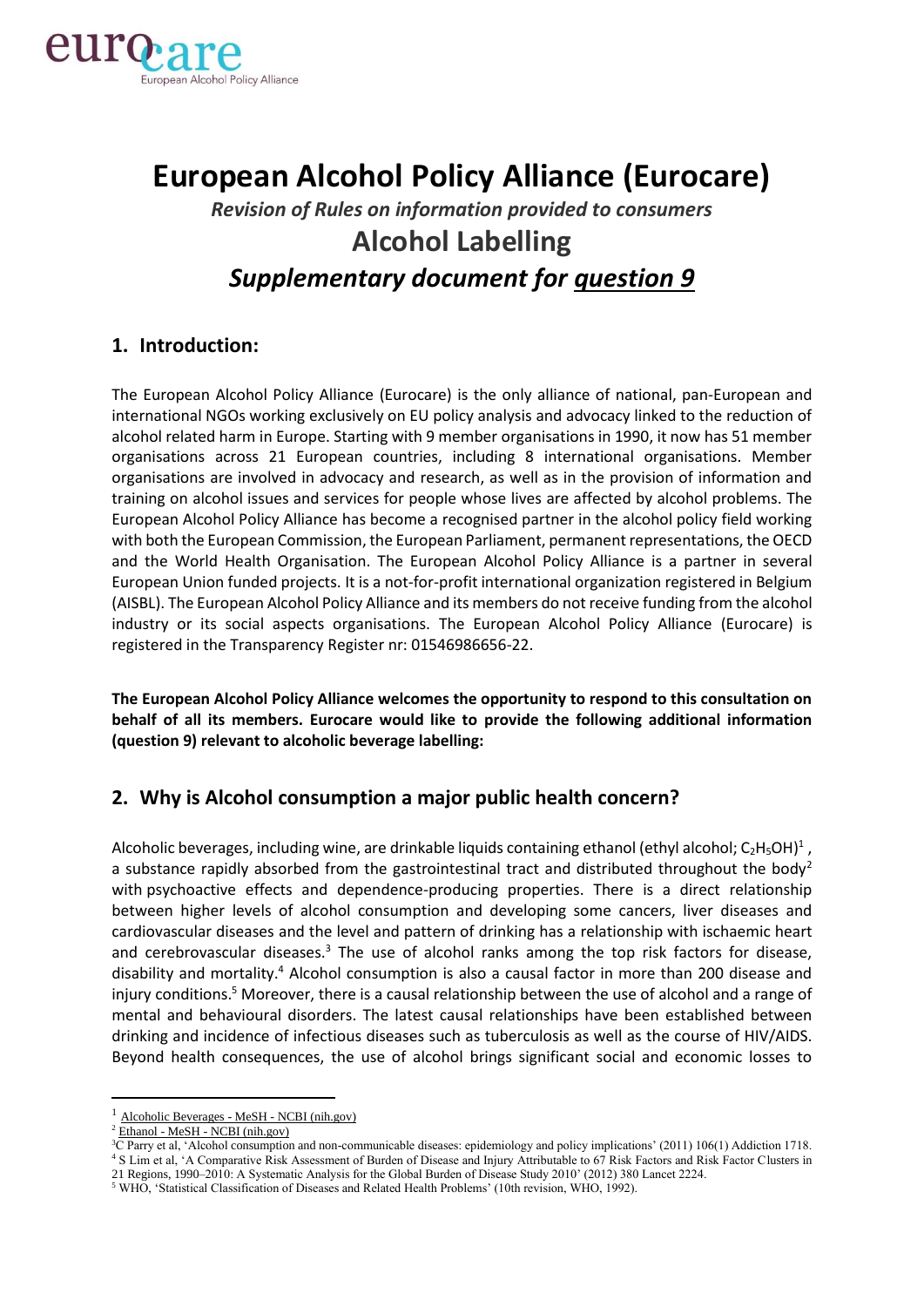

# **European Alcohol Policy Alliance (Eurocare)**  *Revision of Rules on information provided to consumers*  **Alcohol Labelling**  *Supplementary document for question 9*

#### **1. Introduction:**

The European Alcohol Policy Alliance (Eurocare) is the only alliance of national, pan-European and international NGOs working exclusively on EU policy analysis and advocacy linked to the reduction of alcohol related harm in Europe. Starting with 9 member organisations in 1990, it now has 51 member organisations across 21 European countries, including 8 international organisations. Member organisations are involved in advocacy and research, as well as in the provision of information and training on alcohol issues and services for people whose lives are affected by alcohol problems. The European Alcohol Policy Alliance has become a recognised partner in the alcohol policy field working with both the European Commission, the European Parliament, permanent representations, the OECD and the World Health Organisation. The European Alcohol Policy Alliance is a partner in several European Union funded projects. It is a not-for-profit international organization registered in Belgium (AISBL). The European Alcohol Policy Alliance and its members do not receive funding from the alcohol industry or its social aspects organisations. The European Alcohol Policy Alliance (Eurocare) is registered in the Transparency Register nr: 01546986656-22.

**The European Alcohol Policy Alliance welcomes the opportunity to respond to this consultation on behalf of all its members. Eurocare would like to provide the following additional information (question 9) relevant to alcoholic beverage labelling:**

#### **2. Why is Alcohol consumption a major public health concern?**

Alcoholic beverages, including wine, are drinkable liquids containing ethanol (ethyl alcohol;  $C_2H_5OH$ )<sup>1</sup>, a substance rapidly absorbed from the gastrointestinal tract and distributed throughout the body<sup>2</sup> with psychoactive effects and dependence-producing properties. There is a direct relationship between higher levels of alcohol consumption and developing some cancers, liver diseases and cardiovascular diseases and the level and pattern of drinking has a relationship with ischaemic heart and cerebrovascular diseases.<sup>3</sup> The use of alcohol ranks among the top risk factors for disease, disability and mortality.<sup>4</sup> Alcohol consumption is also a causal factor in more than 200 disease and injury conditions. <sup>5</sup> Moreover, there is a causal relationship between the use of alcohol and a range of mental and behavioural disorders. The latest causal relationships have been established between drinking and incidence of infectious diseases such as tuberculosis as well as the course of HIV/AIDS. Beyond health consequences, the use of alcohol brings significant social and economic losses to

<sup>1</sup> [Alcoholic Beverages -](https://www.ncbi.nlm.nih.gov/mesh/68000434) MeSH - NCBI (nih.gov)

<sup>2</sup> Ethanol - MeSH - [NCBI \(nih.gov\)](https://www.ncbi.nlm.nih.gov/mesh/68000431)

<sup>&</sup>lt;sup>3</sup>C Parry et al, 'Alcohol consumption and non-communicable diseases: epidemiology and policy implications' (2011) 106(1) Addiction 1718. <sup>4</sup> S Lim et al, 'A Comparative Risk Assessment of Burden of Disease and Injury Attributable to 67 Risk Factors and Risk Factor Clusters in

<sup>21</sup> Regions, 1990–2010: A Systematic Analysis for the Global Burden of Disease Study 2010' (2012) 380 Lancet 2224.

<sup>&</sup>lt;sup>5</sup> WHO, 'Statistical Classification of Diseases and Related Health Problems' (10th revision, WHO, 1992).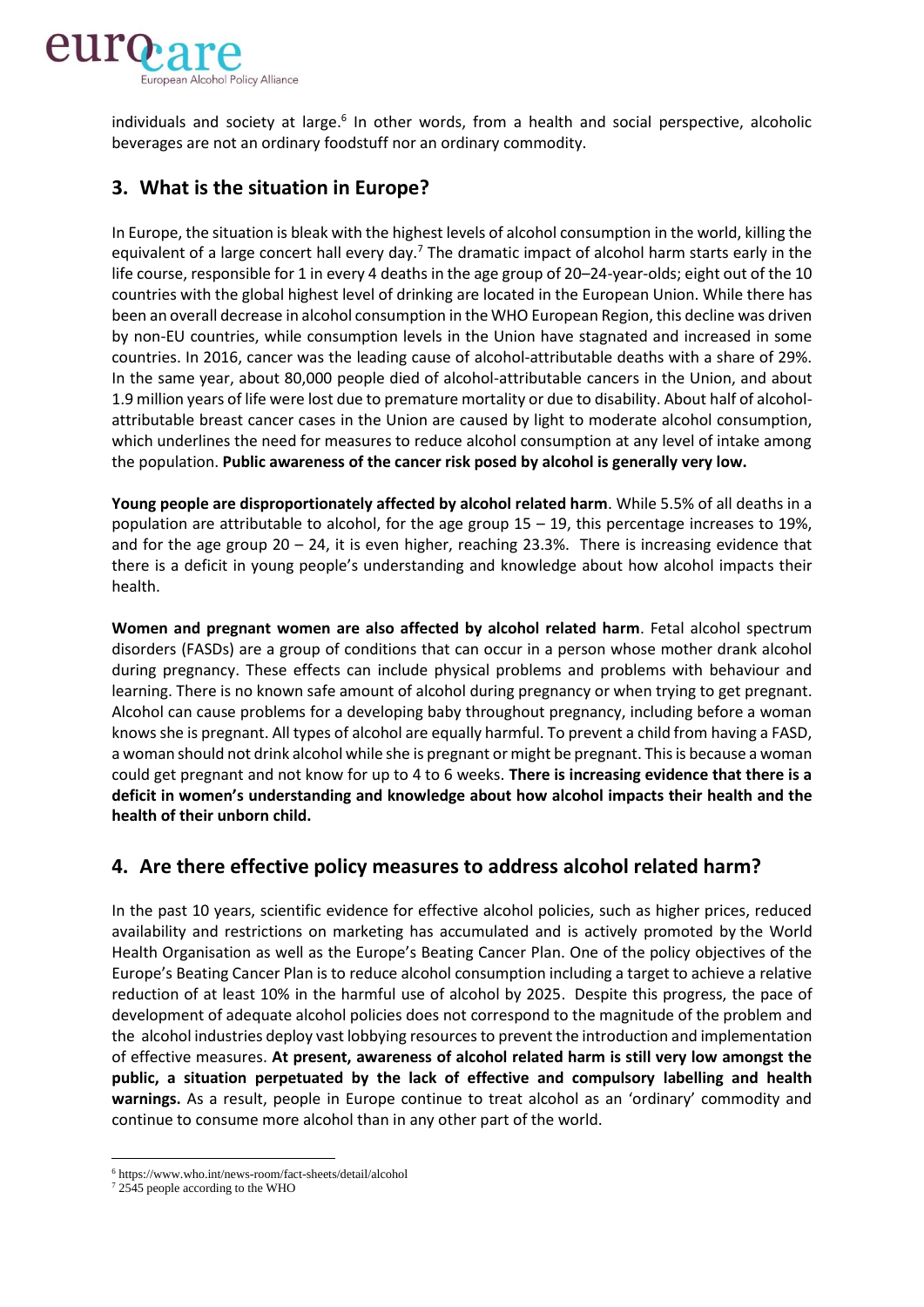

individuals and society at large.<sup>6</sup> In other words, from a health and social perspective, alcoholic beverages are not an ordinary foodstuff nor an ordinary commodity.

# **3. What is the situation in Europe?**

In Europe, the situation is bleak with the highest levels of alcohol consumption in the world, killing the equivalent of a large concert hall every day.<sup>7</sup> The dramatic impact of alcohol harm starts early in the life course, responsible for 1 in every 4 deaths in the age group of 20–24-year-olds; eight out of the 10 countries with the global highest level of drinking are located in the European Union. While there has been an overall decrease in alcohol consumption in the WHO European Region, this decline was driven by non-EU countries, while consumption levels in the Union have stagnated and increased in some countries. In 2016, cancer was the leading cause of alcohol-attributable deaths with a share of 29%. In the same year, about 80,000 people died of alcohol-attributable cancers in the Union, and about 1.9 million years of life were lost due to premature mortality or due to disability. About half of alcoholattributable breast cancer cases in the Union are caused by light to moderate alcohol consumption, which underlines the need for measures to reduce alcohol consumption at any level of intake among the population. **Public awareness of the cancer risk posed by alcohol is generally very low.** 

**Young people are disproportionately affected by alcohol related harm**. While 5.5% of all deaths in a population are attributable to alcohol, for the age group 15 – 19, this percentage increases to 19%, and for the age group 20 – 24, it is even higher, reaching 23.3%. There is increasing evidence that there is a deficit in young people's understanding and knowledge about how alcohol impacts their health.

**Women and pregnant women are also affected by alcohol related harm**. Fetal alcohol spectrum disorders (FASDs) are a group of conditions that can occur in a person whose mother drank alcohol during pregnancy. These effects can include physical problems and problems with behaviour and learning. There is no known safe amount of alcohol during pregnancy or when trying to get pregnant. Alcohol can cause problems for a developing baby throughout pregnancy, including before a woman knows she is pregnant. All types of alcohol are equally harmful. To prevent a child from having a FASD, a woman should not drink alcohol while she is pregnant or might be pregnant. This is because a woman could get pregnant and not know for up to 4 to 6 weeks. **There is increasing evidence that there is a deficit in women's understanding and knowledge about how alcohol impacts their health and the health of their unborn child.**

## **4. Are there effective policy measures to address alcohol related harm?**

In the past 10 years, scientific evidence for effective alcohol policies, such as higher prices, reduced availability and restrictions on marketing has accumulated and is actively promoted by the World Health Organisation as well as the Europe's Beating Cancer Plan. One of the policy objectives of the Europe's Beating Cancer Plan is to reduce alcohol consumption including a target to achieve a relative reduction of at least 10% in the harmful use of alcohol by 2025. Despite this progress, the pace of development of adequate alcohol policies does not correspond to the magnitude of the problem and the alcohol industries deploy vast lobbying resources to prevent the introduction and implementation of effective measures. **At present, awareness of alcohol related harm is still very low amongst the public, a situation perpetuated by the lack of effective and compulsory labelling and health warnings.** As a result, people in Europe continue to treat alcohol as an 'ordinary' commodity and continue to consume more alcohol than in any other part of the world.

<sup>6</sup> https://www.who.int/news-room/fact-sheets/detail/alcohol

<sup>7</sup> 2545 people according to the WHO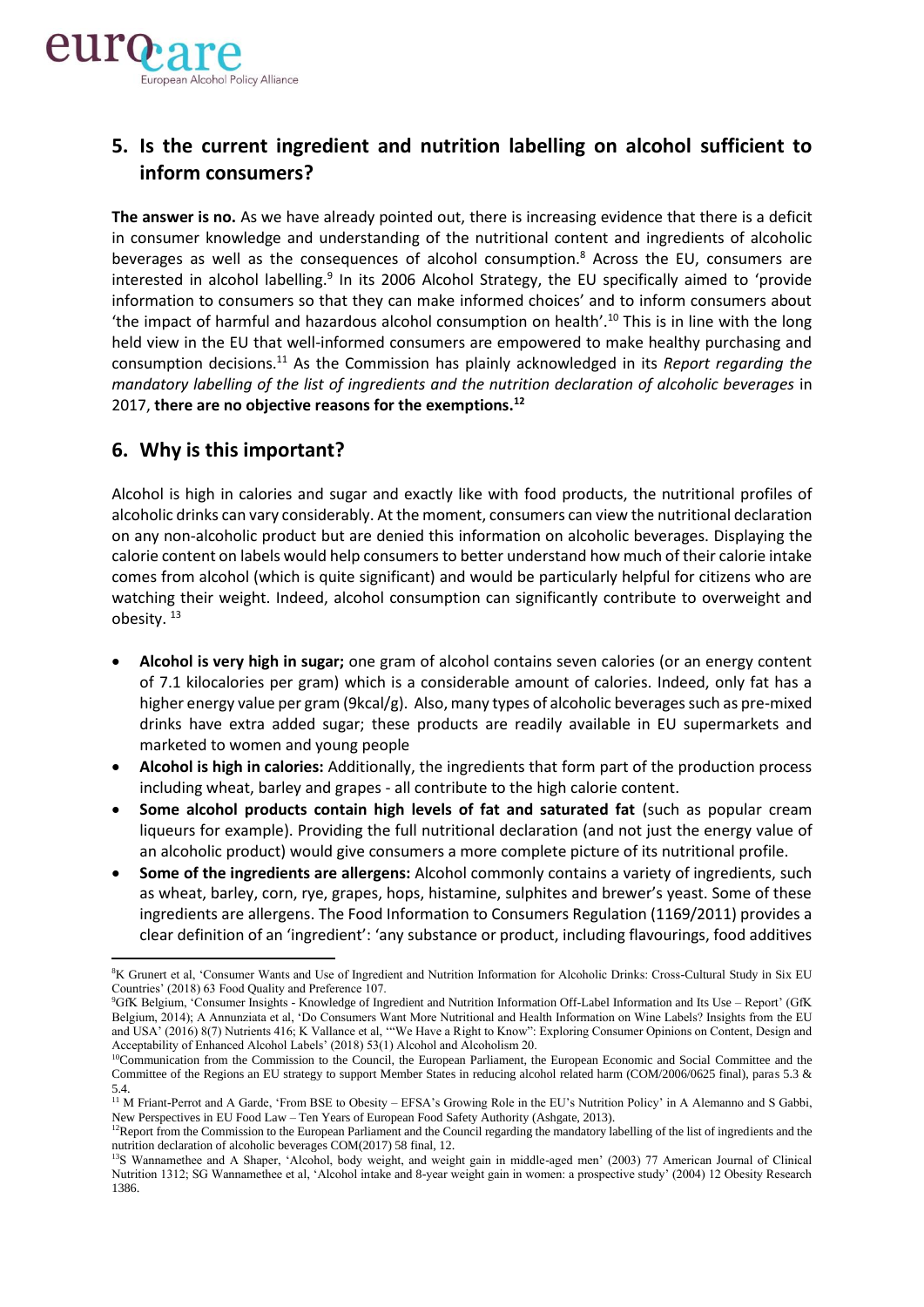

## **5. Is the current ingredient and nutrition labelling on alcohol sufficient to inform consumers?**

**The answer is no.** As we have already pointed out, there is increasing evidence that there is a deficit in consumer knowledge and understanding of the nutritional content and ingredients of alcoholic beverages as well as the consequences of alcohol consumption.<sup>8</sup> Across the EU, consumers are interested in alcohol labelling.<sup>9</sup> In its 2006 Alcohol Strategy, the EU specifically aimed to 'provide information to consumers so that they can make informed choices' and to inform consumers about 'the impact of harmful and hazardous alcohol consumption on health'.<sup>10</sup> This is in line with the long held view in the EU that well-informed consumers are empowered to make healthy purchasing and consumption decisions.<sup>11</sup> As the Commission has plainly acknowledged in its *Report regarding the mandatory labelling of the list of ingredients and the nutrition declaration of alcoholic beverages* in 2017, **there are no objective reasons for the exemptions.<sup>12</sup>**

### **6. Why is this important?**

Alcohol is high in calories and sugar and exactly like with food products, the nutritional profiles of alcoholic drinks can vary considerably. At the moment, consumers can view the nutritional declaration on any non-alcoholic product but are denied this information on alcoholic beverages. Displaying the calorie content on labels would help consumers to better understand how much of their calorie intake comes from alcohol (which is quite significant) and would be particularly helpful for citizens who are watching their weight. Indeed, alcohol consumption can significantly contribute to overweight and obesity. <sup>13</sup>

- **Alcohol is very high in sugar;** one gram of alcohol contains seven calories (or an energy content of 7.1 kilocalories per gram) which is a considerable amount of calories. Indeed, only fat has a higher energy value per gram (9kcal/g). Also, many types of alcoholic beverages such as pre-mixed drinks have extra added sugar; these products are readily available in EU supermarkets and marketed to women and young people
- **Alcohol is high in calories:** Additionally, the ingredients that form part of the production process including wheat, barley and grapes - all contribute to the high calorie content.
- **Some alcohol products contain high levels of fat and saturated fat** (such as popular cream liqueurs for example). Providing the full nutritional declaration (and not just the energy value of an alcoholic product) would give consumers a more complete picture of its nutritional profile.
- **Some of the ingredients are allergens:** Alcohol commonly contains a variety of ingredients, such as wheat, barley, corn, rye, grapes, hops, histamine, sulphites and brewer's yeast. Some of these ingredients are allergens. The Food Information to Consumers Regulation (1169/2011) provides a clear definition of an 'ingredient': 'any substance or product, including flavourings, food additives

<sup>&</sup>lt;sup>8</sup>K Grunert et al, 'Consumer Wants and Use of Ingredient and Nutrition Information for Alcoholic Drinks: Cross-Cultural Study in Six EU Countries' (2018) 63 Food Quality and Preference 107.

<sup>9</sup>GfK Belgium, 'Consumer Insights - Knowledge of Ingredient and Nutrition Information Off-Label Information and Its Use – Report' (GfK Belgium, 2014); A Annunziata et al, 'Do Consumers Want More Nutritional and Health Information on Wine Labels? Insights from the EU and USA' (2016) 8(7) Nutrients 416; K Vallance et al, '"We Have a Right to Know": Exploring Consumer Opinions on Content, Design and Acceptability of Enhanced Alcohol Labels' (2018) 53(1) Alcohol and Alcoholism 20.

<sup>&</sup>lt;sup>10</sup>Communication from the Commission to the Council, the European Parliament, the European Economic and Social Committee and the Committee of the Regions an EU strategy to support Member States in reducing alcohol related harm (COM/2006/0625 final), paras 5.3 & 5.4.

<sup>&</sup>lt;sup>11</sup> M Friant-Perrot and A Garde, 'From BSE to Obesity – EFSA's Growing Role in the EU's Nutrition Policy' in A Alemanno and S Gabbi, New Perspectives in EU Food Law – Ten Years of European Food Safety Authority (Ashgate, 2013).

 $12$ Report from the Commission to the European Parliament and the Council regarding the mandatory labelling of the list of ingredients and the nutrition declaration of alcoholic beverages COM(2017) 58 final, 12.

<sup>&</sup>lt;sup>13</sup>S Wannamethee and A Shaper, 'Alcohol, body weight, and weight gain in middle-aged men' (2003) 77 American Journal of Clinical Nutrition 1312; SG Wannamethee et al, 'Alcohol intake and 8-year weight gain in women: a prospective study' (2004) 12 Obesity Research 1386.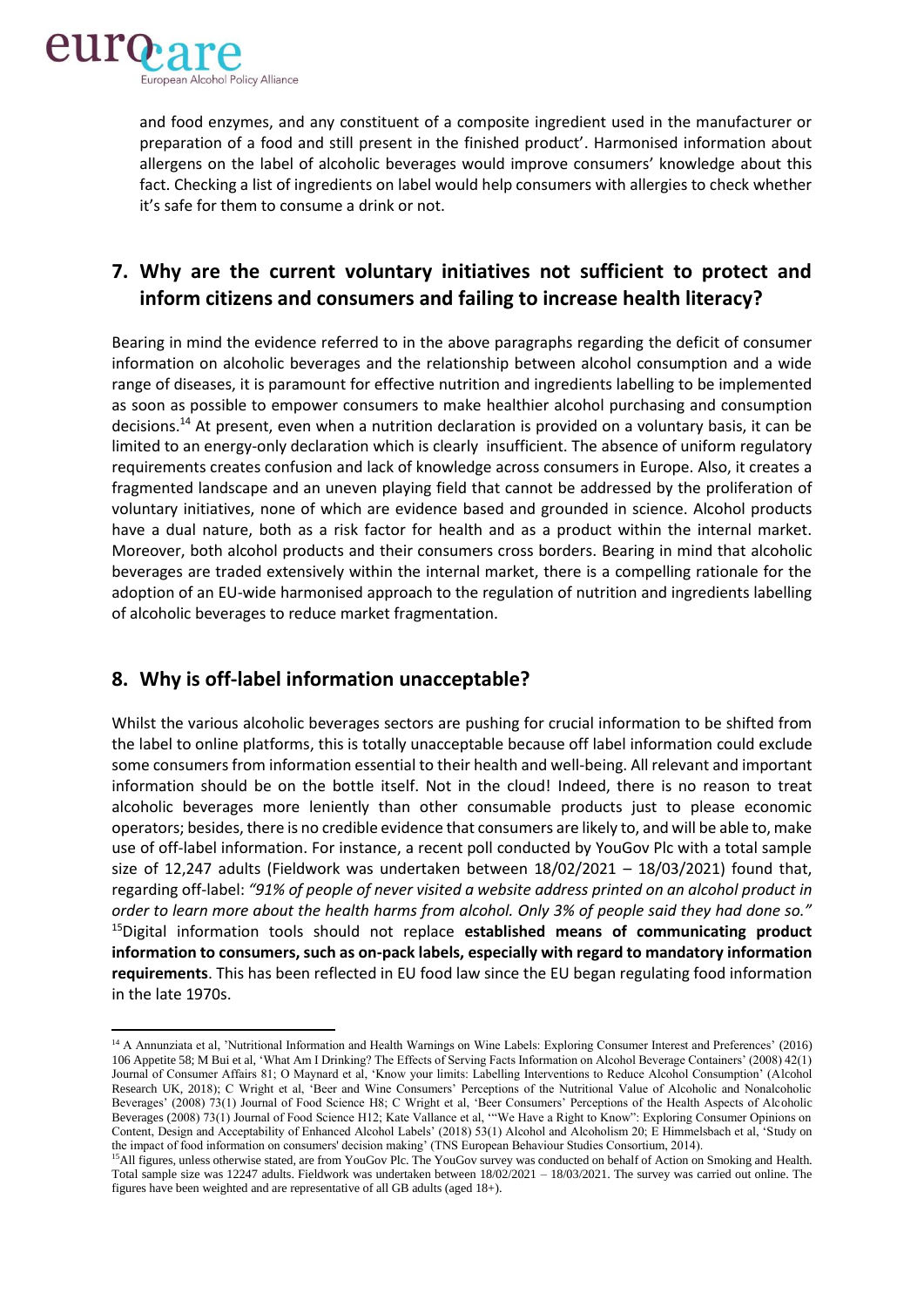

and food enzymes, and any constituent of a composite ingredient used in the manufacturer or preparation of a food and still present in the finished product'. Harmonised information about allergens on the label of alcoholic beverages would improve consumers' knowledge about this fact. Checking a list of ingredients on label would help consumers with allergies to check whether it's safe for them to consume a drink or not.

# **7. Why are the current voluntary initiatives not sufficient to protect and inform citizens and consumers and failing to increase health literacy?**

Bearing in mind the evidence referred to in the above paragraphs regarding the deficit of consumer information on alcoholic beverages and the relationship between alcohol consumption and a wide range of diseases, it is paramount for effective nutrition and ingredients labelling to be implemented as soon as possible to empower consumers to make healthier alcohol purchasing and consumption decisions.<sup>14</sup> At present, even when a nutrition declaration is provided on a voluntary basis, it can be limited to an energy-only declaration which is clearly insufficient. The absence of uniform regulatory requirements creates confusion and lack of knowledge across consumers in Europe. Also, it creates a fragmented landscape and an uneven playing field that cannot be addressed by the proliferation of voluntary initiatives, none of which are evidence based and grounded in science. Alcohol products have a dual nature, both as a risk factor for health and as a product within the internal market. Moreover, both alcohol products and their consumers cross borders. Bearing in mind that alcoholic beverages are traded extensively within the internal market, there is a compelling rationale for the adoption of an EU-wide harmonised approach to the regulation of nutrition and ingredients labelling of alcoholic beverages to reduce market fragmentation.

#### **8. Why is off-label information unacceptable?**

Whilst the various alcoholic beverages sectors are pushing for crucial information to be shifted from the label to online platforms, this is totally unacceptable because off label information could exclude some consumers from information essential to their health and well-being. All relevant and important information should be on the bottle itself. Not in the cloud! Indeed, there is no reason to treat alcoholic beverages more leniently than other consumable products just to please economic operators; besides, there is no credible evidence that consumers are likely to, and will be able to, make use of off-label information. For instance, a recent poll conducted by YouGov Plc with a total sample size of 12,247 adults (Fieldwork was undertaken between 18/02/2021 – 18/03/2021) found that, regarding off-label: *"91% of people of never visited a website address printed on an alcohol product in order to learn more about the health harms from alcohol. Only 3% of people said they had done so."* <sup>15</sup>Digital information tools should not replace **established means of communicating product information to consumers, such as on-pack labels, especially with regard to mandatory information requirements**. This has been reflected in EU food law since the EU began regulating food information in the late 1970s.

<sup>&</sup>lt;sup>14</sup> A Annunziata et al, 'Nutritional Information and Health Warnings on Wine Labels: Exploring Consumer Interest and Preferences' (2016) 106 Appetite 58; M Bui et al, 'What Am I Drinking? The Effects of Serving Facts Information on Alcohol Beverage Containers' (2008) 42(1) Journal of Consumer Affairs 81; O Maynard et al, 'Know your limits: Labelling Interventions to Reduce Alcohol Consumption' (Alcohol Research UK, 2018); C Wright et al, 'Beer and Wine Consumers' Perceptions of the Nutritional Value of Alcoholic and Nonalcoholic Beverages' (2008) 73(1) Journal of Food Science H8; C Wright et al, 'Beer Consumers' Perceptions of the Health Aspects of Alcoholic Beverages (2008) 73(1) Journal of Food Science H12; Kate Vallance et al, '"We Have a Right to Know": Exploring Consumer Opinions on Content, Design and Acceptability of Enhanced Alcohol Labels' (2018) 53(1) Alcohol and Alcoholism 20; E Himmelsbach et al, 'Study on the impact of food information on consumers' decision making' (TNS European Behaviour Studies Consortium, 2014).

<sup>&</sup>lt;sup>15</sup>All figures, unless otherwise stated, are from YouGov Plc. The YouGov survey was conducted on behalf of Action on Smoking and Health. Total sample size was 12247 adults. Fieldwork was undertaken between 18/02/2021 – 18/03/2021. The survey was carried out online. The figures have been weighted and are representative of all GB adults (aged 18+).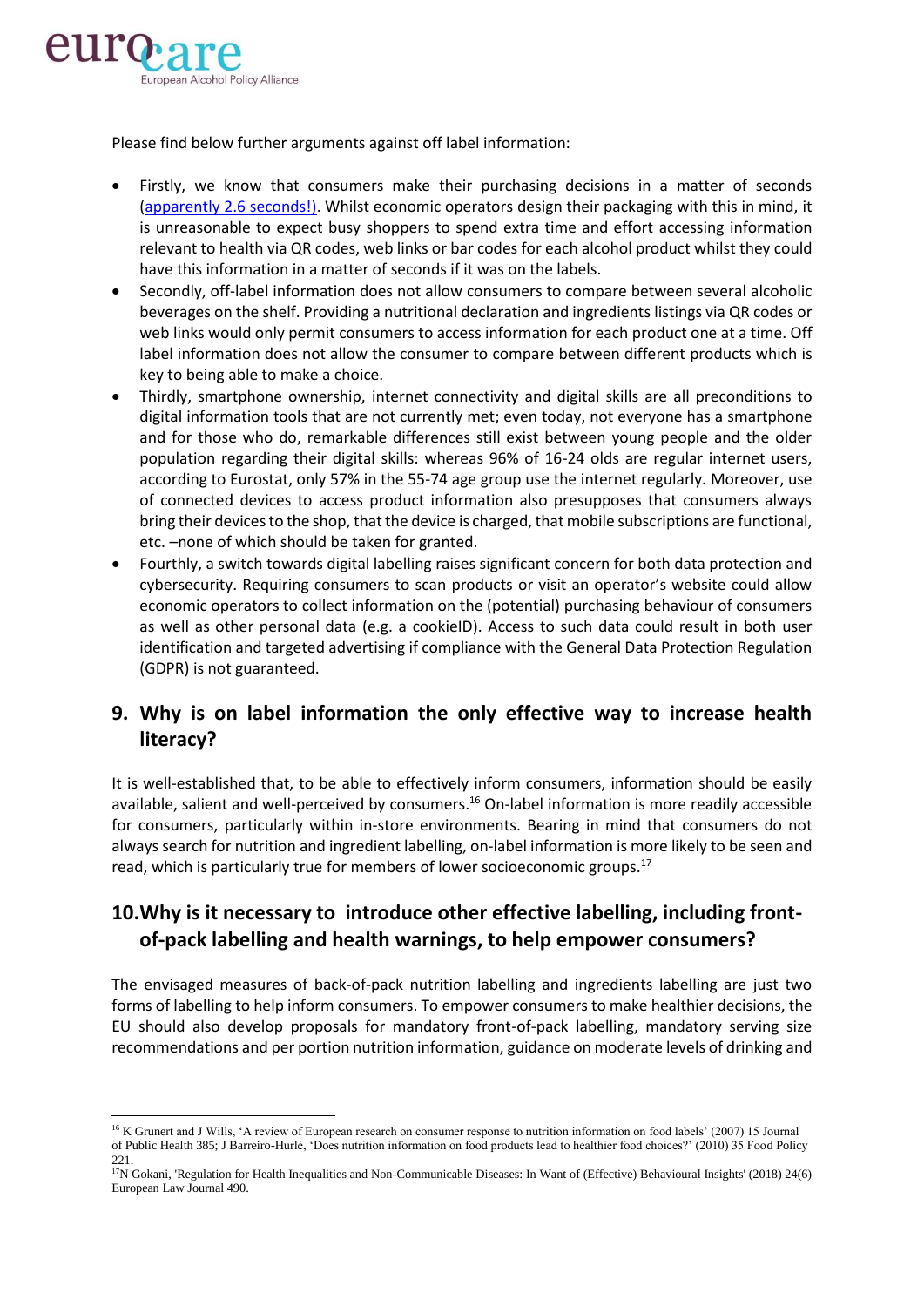

Please find below further arguments against off label information:

- Firstly, we know that consumers make their purchasing decisions in a matter of seconds [\(apparently 2.6 seconds!\).](https://www.packaginginnovation.com/product-packaging/consumer-buying-behavior-lesson-1-2-6-seconds-beat-competition/) Whilst economic operators design their packaging with this in mind, it is unreasonable to expect busy shoppers to spend extra time and effort accessing information relevant to health via QR codes, web links or bar codes for each alcohol product whilst they could have this information in a matter of seconds if it was on the labels.
- Secondly, off-label information does not allow consumers to compare between several alcoholic beverages on the shelf. Providing a nutritional declaration and ingredients listings via QR codes or web links would only permit consumers to access information for each product one at a time. Off label information does not allow the consumer to compare between different products which is key to being able to make a choice.
- Thirdly, smartphone ownership, internet connectivity and digital skills are all preconditions to digital information tools that are not currently met; even today, not everyone has a smartphone and for those who do, remarkable differences still exist between young people and the older population regarding their digital skills: whereas 96% of 16-24 olds are regular internet users, according to Eurostat, only 57% in the 55-74 age group use the internet regularly. Moreover, use of connected devices to access product information also presupposes that consumers always bring their devices to the shop, that the device is charged, that mobile subscriptions are functional, etc. –none of which should be taken for granted.
- Fourthly, a switch towards digital labelling raises significant concern for both data protection and cybersecurity. Requiring consumers to scan products or visit an operator's website could allow economic operators to collect information on the (potential) purchasing behaviour of consumers as well as other personal data (e.g. a cookieID). Access to such data could result in both user identification and targeted advertising if compliance with the General Data Protection Regulation (GDPR) is not guaranteed.

## **9. Why is on label information the only effective way to increase health literacy?**

It is well-established that, to be able to effectively inform consumers, information should be easily available, salient and well-perceived by consumers.<sup>16</sup> On-label information is more readily accessible for consumers, particularly within in-store environments. Bearing in mind that consumers do not always search for nutrition and ingredient labelling, on-label information is more likely to be seen and read, which is particularly true for members of lower socioeconomic groups.<sup>17</sup>

# **10.Why is it necessary to introduce other effective labelling, including frontof-pack labelling and health warnings, to help empower consumers?**

The envisaged measures of back-of-pack nutrition labelling and ingredients labelling are just two forms of labelling to help inform consumers. To empower consumers to make healthier decisions, the EU should also develop proposals for mandatory front-of-pack labelling, mandatory serving size recommendations and per portion nutrition information, guidance on moderate levels of drinking and

<sup>&</sup>lt;sup>16</sup> K Grunert and J Wills, 'A review of European research on consumer response to nutrition information on food labels' (2007) 15 Journal of Public Health 385; J Barreiro-Hurlé, 'Does nutrition information on food products lead to healthier food choices?' (2010) 35 Food Policy 221.

<sup>&</sup>lt;sup>17</sup>N Gokani, 'Regulation for Health Inequalities and Non-Communicable Diseases: In Want of (Effective) Behavioural Insights' (2018) 24(6) European Law Journal 490.